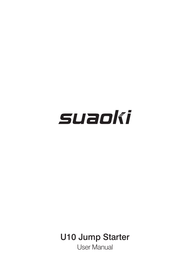# suaoki

# U10 Jump Starter

User Manual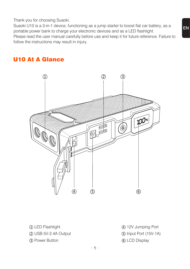Thank you for choosing Suaoki.

Suaoki U10 is a 3-in-1 device, functioning as a jump starter to boost flat car battery, as a portable power bank to charge your electronic devices and as a LED flashlight.

Please read the user manual carefully before use and keep it for future reference. Failure to follow the instructions may result in injury.

# U10 At A Glance



① LED Flashlight ② USB 5V-2.4A Output ③ Power Button

- ④ 12V Jumping Port
- ⑤ Input Port (15V-1A)
- ⑥ LCD Display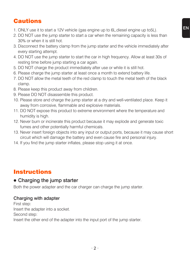# **Cautions**

- 1. ONLY use it to start a 12V vehicle (gas engine up to 6L,diesel engine up to5L).
- 2. DO NOT use the jump starter to start a car when the remaining capacity is less than 30% or when it is still hot.
- 3. Disconnect the battery clamp from the jump starter and the vehicle immediately after every starting attempt.
- 4. DO NOT use the jump starter to start the car in high frequency. Allow at least 30s of resting time before jump starting a car again.
- 5. DO NOT charge the product immediately after use or while it is still hot.
- 6. Please charge the jump starter at least once a month to extend battery life.
- 7. DO NOT allow the metal teeth of the red clamp to touch the metal teeth of the black clamp.
- 8. Please keep this product away from children.
- 9. Please DO NOT disassemble this product.
- 10. Please store and charge the jump starter at a dry and well-ventilated place. Keep it away from corrosive, flammable and explosive materials.
- 11. DO NOT expose this product to extreme environment where the temperature and humidity is high.
- 12. Never burn or incinerate this product because it may explode and generate toxic fumes and other potentially harmful chemicals.
- 13. Never insert foreign objects into any input or output ports, because it may cause short circuit which will damage the battery and even cause fire and personal injury.
- 14. If you find the jump starter inflates, please stop using it at once.

# Instructions

#### **●** Charging the jump starter

Both the power adapter and the car charger can charge the jump starter.

#### Charging with adapter

First step: Insert the adapter into a socket. Second step: Insert the other end of the adapter into the input port of the jump starter.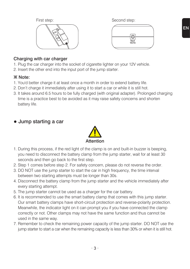



#### Charging with car charger

- 1. Plug the car charger into the socket of cigarette lighter on your 12V vehicle.
- 2. Insert the other end into the input port of the jump starter.

#### **※** Note:

- 1. You'd better charge it at least once a month in order to extend battery life.
- 2. Don't charge it immediately after using it to start a car or while it is still hot.
- 3. It takes around 6.5 hours to be fully charged (with original adapter). Prolonged charging time is a practice best to be avoided as it may raise safety concerns and shorten battery life.

# **●** Jump starting a car



- 1. During this process, if the red light of the clamp is on and built-in buzzer is beeping, you need to disconnect the battery clamp from the jump starter, wait for at least 30 seconds and then go back to the first step.
- 2. Step 1 comes before step 2. For safety concern, please do not reverse the order.
- 3. DO NOT use the jump starter to start the car in high frequency, the time interval between two starting attempts must be longer than 30s.
- 4. Disconnect the battery clamp from the jump starter and the vehicle immediately after every starting attempt.
- 5. The jump starter cannot be used as a charger for the car battery.
- 6. It is recommended to use the smart battery clamp that comes with this jump starter. Our smart battery clamps have short-circuit protection and reverse-polarity protection. Meanwhile, the indicator light on it can prompt you if you have connected the clamp correctly or not. Other clamps may not have the same function and thus cannot be used in the same way.
- 7. Remember to check the remaining power capacity of the jump starter. DO NOT use the jump starter to start a car when the remaining capacity is less than 30% or when it is still hot.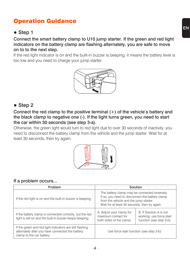# Operation Guidance

# **●** Step 1

Connect the smart battery clamp to U10 jump starter. If the green and red light indicators on the battery clamp are flashing alternately, you are safe to move on to to the next step.

If the red light indicator is on and the built-in buzzer is beeping, it means the battery level is too low and you need to charge your jump starter.



# **●** Step 2

Connect the red clamp to the positive terminal (+) of the vehicle's battery and the black clamp to negative one (-). If the light turns green, you need to start the car within 30 seconds (see step 3-a).

Otherwise, the green light would turn to red light due to over 30 seconds of inactivity, you need to disconnect the battery clamp from the vehicle and the jump starter. Wait for at least 30 seconds, then try again.



#### If a problem occurs...

| Problem                                                                                                                                  | Solution                                                                                                                                                                                    |                                                                                |
|------------------------------------------------------------------------------------------------------------------------------------------|---------------------------------------------------------------------------------------------------------------------------------------------------------------------------------------------|--------------------------------------------------------------------------------|
| If the red light is on and the built-in buzzer is beeping                                                                                | The battery clamp may be connected reversely.<br>If so, you need to disconnect the battery clamp<br>from the vehicle and the jump starter.<br>Wait for at least 30 seconds, then try again. |                                                                                |
| If the battery clamp is connected correctly, but the red<br>light is still on and the built-in buzzer keeps beeping.                     | A. Adjust your clamp for<br>maximum contact for<br>both sides of the clamp                                                                                                                  | B. If Solution A is not<br>working, use force start<br>function (see step 3-b) |
| If the green and red light indicators are still flashing<br>alternately after you have connected the battery<br>clamp to the car battery | Use force start function (see step 3-b)                                                                                                                                                     |                                                                                |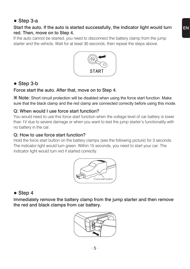#### **●** Step 3-a

#### Start the auto. If the auto is started successfully, the indicator light would turn red. Then, move on to Step 4.

If the auto cannot be started, you need to disconnect the battery clamp from the jump starter and the vehicle. Wait for at least 30 seconds, then repeat the steps above.



# **●** Step 3-b

#### Force start the auto. After that, move on to Step 4.

**※** Note: Short circuit protection will be disabled when using the force start function. Make sure that the black clamp and the red clamp are connected correctly before using this mode.

#### Q: When would I use force start function?

You would need to use this force start function when the voltage level of car battery is lower than 1V due to severe damage or when you want to test the jump starter's functionality with no battery in the car.

#### Q: How to use force start function?

Hold the force start button on the battery clamps (see the following picture) for 3 seconds. The indicator light would turn green. Within 15 seconds, you need to start your car. The indicator light would turn red if started correctly.



# **●** Step 4

Immediately remove the battery clamp from the jump starter and then remove the red and black clamps from car battery.



EN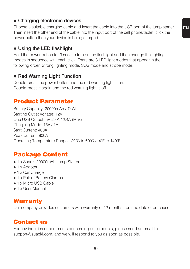#### **●** Charging electronic devices

Choose a suitable charging cable and insert the cable into the USB port of the jump starter. Then insert the other end of the cable into the input port of the cell phone/tablet, click the power button then your device is being charged.

# **●** Using the LED flashlight

Hold the power button for 3 secs to turn on the flashlight and then change the lighting modes in sequence with each click. There are 3 LED light modes that appear in the following order: Strong lighting mode, SOS mode and strobe mode.

#### **●** Red Warning Light Function

Double-press the power button and the red warning light is on. Double-press it again and the red warning light is off.

# Product Parameter

Battery Capacity: 20000mAh / 74Wh Starting Outlet Voltage: 12V One USB Output: 5V-2.4A / 2.4A (Max) Charging Mode: 15V / 1A Start Current: 400A Peak Current: 800A Operating Temperature Range: -20°C to 60°C / -4°F to 140°F

# Package Content

- 1 x Suaoki 20000mAh Jump Starter
- 1 x Adapter
- 1 x Car Charger
- 1 x Pair of Battery Clamps
- 1 x Micro USB Cable
- 1 x User Manual

# Warranty

Our company provides customers with warranty of 12 months from the date of purchase.

# Contact us

For any inquiries or comments concerning our products, please send an email to support@suaoki.com, and we will respond to you as soon as possible.